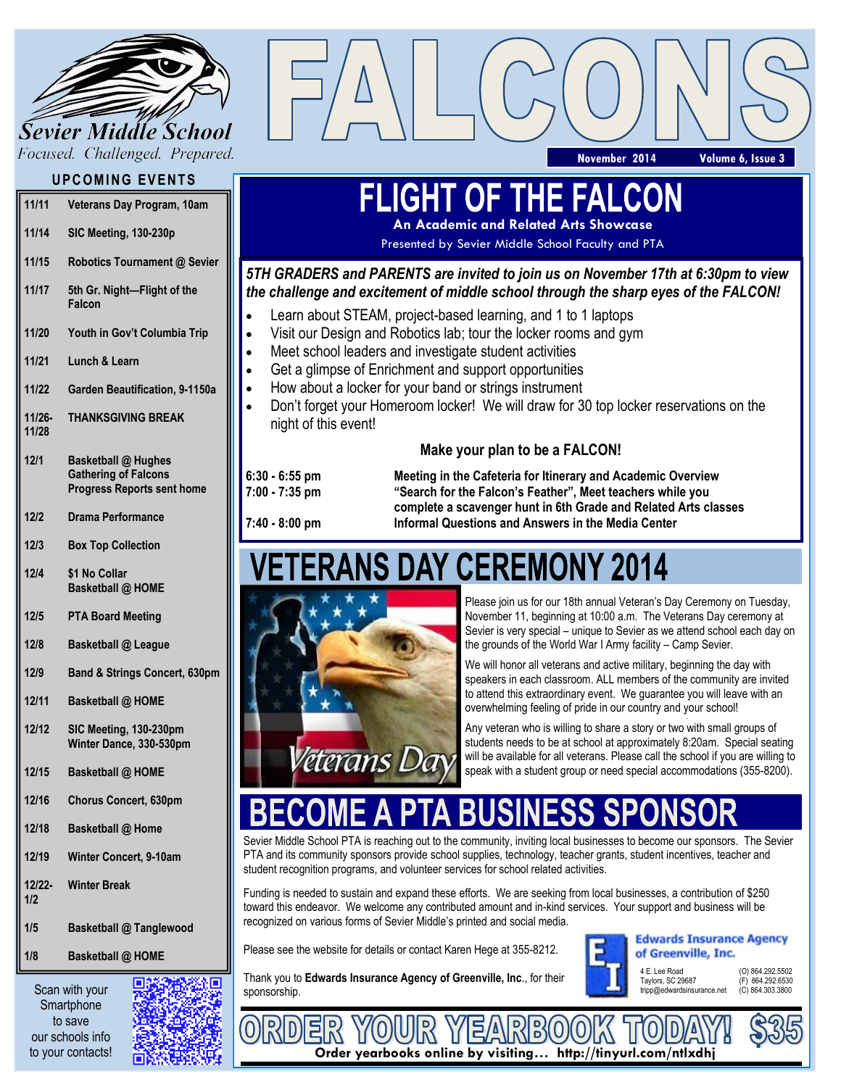

Focused. Challenged. Prepared.

## **UPCOMING EVENTS**

| 11/11              | Veterans Day Program, 10am                                                                     |
|--------------------|------------------------------------------------------------------------------------------------|
| 11/14              | SIC Meeting, 130-230p                                                                          |
| 11/15              | Robotics Tournament @ Sevier                                                                   |
| 11/17              | 5th Gr. Night-Flight of the<br>Falcon                                                          |
| 11/20              | Youth in Gov't Columbia Trip                                                                   |
| 11/21              | Lunch & Learn                                                                                  |
| 11/22              | Garden Beautification, 9-1150a                                                                 |
| $11/26 -$<br>11/28 | <b>THANKSGIVING BREAK</b>                                                                      |
| 12/1               | <b>Basketball @ Hughes</b><br><b>Gathering of Falcons</b><br><b>Progress Reports sent home</b> |
| 2/2                | <b>Drama Performance</b>                                                                       |

**12/4 \$1 No Collar Basketball @ HOME**

**Box Top Collection**

**12/3**

**12/5 PTA Board Meeting**

**12/8 Basketball @ League**

- **12/9 Band & Strings Concert, 630pm**
- **12/11 Basketball @ HOME**
- **12/12 SIC Meeting, 130-230pm Winter Dance, 330-530pm**
- **12/15 Basketball @ HOME**
- **12/16 Chorus Concert, 630pm**
- **12/18 Basketball @ Home**
- **12/19 Winter Concert, 9-10am**
- **12/22- 1/2 Winter Break**
- **1/5 Basketball @ Tanglewood**
- **1/8 Basketball @ HOME**

Scan with your **Smartphone** to save our schools info to your contacts!



# **FLIGHT OF THE FALCON**

**An Academic and Related Arts Showcase**

Presented by Sevier Middle School Faculty and PTA

### *5TH GRADERS and PARENTS are invited to join us on November 17th at 6:30pm to view the challenge and excitement of middle school through the sharp eyes of the FALCON!*

- Learn about STEAM, project-based learning, and 1 to 1 laptops
- Visit our Design and Robotics lab; tour the locker rooms and gym
- Meet school leaders and investigate student activities
- Get a glimpse of Enrichment and support opportunities
- How about a locker for your band or strings instrument
- Don't forget your Homeroom locker! We will draw for 30 top locker reservations on the night of this event!

#### **Make your plan to be a FALCON!**

**6:30 - 6:55 pm Meeting in the Cafeteria for Itinerary and Academic Overview 7:00 - 7:35 pm "Search for the Falcon's Feather", Meet teachers while you complete a scavenger hunt in 6th Grade and Related Arts classes 7:40 - 8:00 pm Informal Questions and Answers in the Media Center**

# **S DAY CEREMONY 2014**



Please join us for our 18th annual Veteran's Day Ceremony on Tuesday, November 11, beginning at 10:00 a.m. The Veterans Day ceremony at Sevier is very special – unique to Sevier as we attend school each day on the grounds of the World War I Army facility – Camp Sevier.

**November 2014 Volume 6, Issue 3**

We will honor all veterans and active military, beginning the day with speakers in each classroom. ALL members of the community are invited to attend this extraordinary event. We guarantee you will leave with an overwhelming feeling of pride in our country and your school!

Any veteran who is willing to share a story or two with small groups of students needs to be at school at approximately 8:20am. Special seating will be available for all veterans. Please call the school if you are willing to speak with a student group or need special accommodations (355-8200).

Sevier Middle School PTA is reaching out to the community, inviting local businesses to become our sponsors. The Sevier PTA and its community sponsors provide school supplies, technology, teacher grants, student incentives, teacher and student recognition programs, and volunteer services for school related activities.

Funding is needed to sustain and expand these efforts. We are seeking from local businesses, a contribution of \$250 toward this endeavor. We welcome any contributed amount and in-kind services. Your support and business will be recognized on various forms of Sevier Middle's printed and social media.

Please see the website for details or contact Karen Hege at 355-8212.



**Edwards Insurance Agency** of Greenville, Inc.

Thank you to **Edwards Insurance Agency of Greenville, Inc**., for their

4 E. Lee Road (0) 864.292.5502<br>Taylors, SC 29687 (E) 864.292.6530 Taylors, SC 29687 (F) 864.292.6530<br>tripp@edwardsinsurance.net (C) 864.303.3800 tripp@edwardsinsurance.net



 $R80$ 는 **Order yearbooks online by visiting… http://tinyurl.com/ntlxdhj**